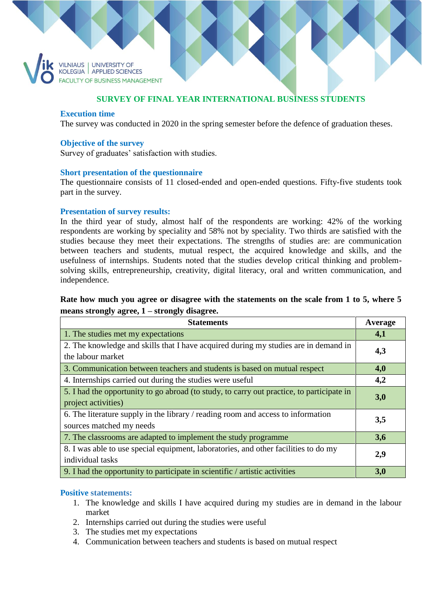VILNIAUS | UNIVERSITY OF<br>KOLEGIJA | APPLIED SCIENCES **FACULTY OF BUSINESS MANAGEMENT** 

# **SURVEY OF FINAL YEAR INTERNATIONAL BUSINESS STUDENTS**

#### **Execution time**

The survey was conducted in 2020 in the spring semester before the defence of graduation theses.

#### **Objective of the survey**

Survey of graduates' satisfaction with studies.

#### **Short presentation of the questionnaire**

The questionnaire consists of 11 closed-ended and open-ended questions. Fifty-five students took part in the survey.

#### **Presentation of survey results:**

In the third year of study, almost half of the respondents are working: 42% of the working respondents are working by speciality and 58% not by speciality. Two thirds are satisfied with the studies because they meet their expectations. The strengths of studies are: are communication between teachers and students, mutual respect, the acquired knowledge and skills, and the usefulness of internships. Students noted that the studies develop critical thinking and problemsolving skills, entrepreneurship, creativity, digital literacy, oral and written communication, and independence.

# **Rate how much you agree or disagree with the statements on the scale from 1 to 5, where 5 means strongly agree, 1 – strongly disagree.**

| <b>Statements</b>                                                                                                | Average |
|------------------------------------------------------------------------------------------------------------------|---------|
| 1. The studies met my expectations                                                                               | 4,1     |
| 2. The knowledge and skills that I have acquired during my studies are in demand in<br>the labour market         | 4,3     |
| 3. Communication between teachers and students is based on mutual respect                                        | 4,0     |
| 4. Internships carried out during the studies were useful.                                                       | 4,2     |
| 5. I had the opportunity to go abroad (to study, to carry out practice, to participate in<br>project activities) | 3,0     |
| 6. The literature supply in the library / reading room and access to information<br>sources matched my needs     | 3,5     |
| 7. The classrooms are adapted to implement the study programme                                                   | 3,6     |
| 8. I was able to use special equipment, laboratories, and other facilities to do my<br>individual tasks          | 2,9     |
| 9. I had the opportunity to participate in scientific / artistic activities                                      | 3,0     |

### **Positive statements:**

- 1. The knowledge and skills I have acquired during my studies are in demand in the labour market
- 2. Internships carried out during the studies were useful
- 3. The studies met my expectations
- 4. Communication between teachers and students is based on mutual respect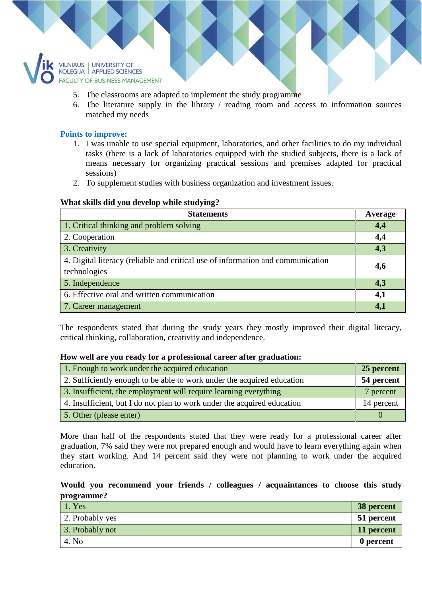

- 5. The classrooms are adapted to implement the study programme
- 6. The literature supply in the library / reading room and access to information sources matched my needs

### **Points to improve:**

- 1. I was unable to use special equipment, laboratories, and other facilities to do my individual tasks (there is a lack of laboratories equipped with the studied subjects, there is a lack of means necessary for organizing practical sessions and premises adapted for practical sessions)
- 2. To supplement studies with business organization and investment issues.

### **What skills did you develop while studying?**

| <b>Statements</b>                                                               | Average |
|---------------------------------------------------------------------------------|---------|
| 1. Critical thinking and problem solving                                        | 4,4     |
| 2. Cooperation                                                                  | 4,4     |
| 3. Creativity                                                                   | 4,3     |
| 4. Digital literacy (reliable and critical use of information and communication | 4,6     |
| technologies                                                                    |         |
| 5. Independence                                                                 | 4,3     |
| 6. Effective oral and written communication                                     | 4,1     |
| 7. Career management                                                            | 4,1     |

The respondents stated that during the study years they mostly improved their digital literacy, critical thinking, collaboration, creativity and independence.

#### **How well are you ready for a professional career after graduation:**

| 1. Enough to work under the acquired education                          | 25 percent |
|-------------------------------------------------------------------------|------------|
| 2. Sufficiently enough to be able to work under the acquired education  | 54 percent |
| 3. Insufficient, the employment will require learning everything        | 7 percent  |
| 4. Insufficient, but I do not plan to work under the acquired education | 14 percent |
| 5. Other (please enter)                                                 |            |

More than half of the respondents stated that they were ready for a professional career after graduation, 7% said they were not prepared enough and would have to learn everything again when they start working. And 14 percent said they were not planning to work under the acquired education.

## **Would you recommend your friends / colleagues / acquaintances to choose this study programme?**

| 1. Yes          | 38 percent |
|-----------------|------------|
| 2. Probably yes | 51 percent |
| 3. Probably not | 11 percent |
| 4. No           | 0 percent  |